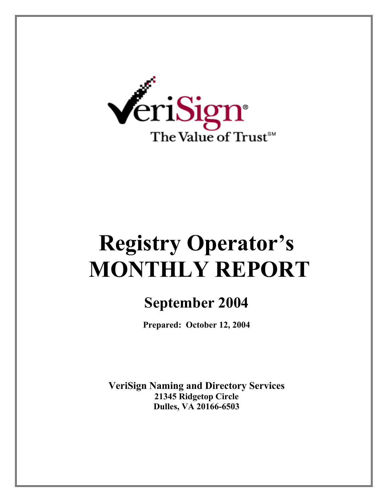

# **Registry Operator's MONTHLY REPORT**

# **September 2004**

**Prepared: October 12, 2004** 

**VeriSign Naming and Directory Services 21345 Ridgetop Circle Dulles, VA 20166-6503**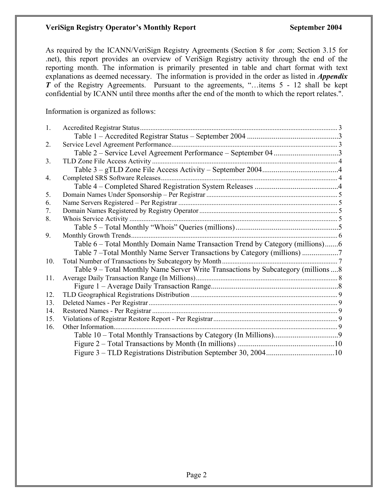#### **VeriSign Registry Operator's Monthly Report September 2004**

As required by the ICANN/VeriSign Registry Agreements (Section 8 for .com; Section 3.15 for .net), this report provides an overview of VeriSign Registry activity through the end of the reporting month. The information is primarily presented in table and chart format with text explanations as deemed necessary. The information is provided in the order as listed in *Appendix T* of the Registry Agreements. Pursuant to the agreements, "...items 5 - 12 shall be kept confidential by ICANN until three months after the end of the month to which the report relates.".

Information is organized as follows:

| 1.  |                                                                                     |  |
|-----|-------------------------------------------------------------------------------------|--|
|     |                                                                                     |  |
| 2.  |                                                                                     |  |
|     | Table 2 – Service Level Agreement Performance – September 043                       |  |
| 3.  |                                                                                     |  |
|     |                                                                                     |  |
| 4.  |                                                                                     |  |
|     |                                                                                     |  |
| 5.  |                                                                                     |  |
| 6.  |                                                                                     |  |
| 7.  |                                                                                     |  |
| 8.  |                                                                                     |  |
|     |                                                                                     |  |
| 9.  |                                                                                     |  |
|     | Table 6 – Total Monthly Domain Name Transaction Trend by Category (millions)6       |  |
|     | Table 7-Total Monthly Name Server Transactions by Category (millions)               |  |
| 10. |                                                                                     |  |
|     | Table 9 – Total Monthly Name Server Write Transactions by Subcategory (millions  8) |  |
| 11. |                                                                                     |  |
|     |                                                                                     |  |
| 12. |                                                                                     |  |
| 13. |                                                                                     |  |
| 14. |                                                                                     |  |
| 15. |                                                                                     |  |
| 16. |                                                                                     |  |
|     |                                                                                     |  |
|     |                                                                                     |  |
|     |                                                                                     |  |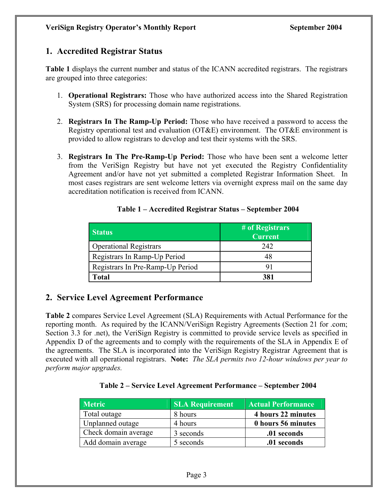# **1. Accredited Registrar Status**

**Table 1** displays the current number and status of the ICANN accredited registrars. The registrars are grouped into three categories:

- 1. **Operational Registrars:** Those who have authorized access into the Shared Registration System (SRS) for processing domain name registrations.
- 2. **Registrars In The Ramp-Up Period:** Those who have received a password to access the Registry operational test and evaluation (OT&E) environment. The OT&E environment is provided to allow registrars to develop and test their systems with the SRS.
- 3. **Registrars In The Pre-Ramp-Up Period:** Those who have been sent a welcome letter from the VeriSign Registry but have not yet executed the Registry Confidentiality Agreement and/or have not yet submitted a completed Registrar Information Sheet. In most cases registrars are sent welcome letters via overnight express mail on the same day accreditation notification is received from ICANN.

| <b>Status</b>                    | # of Registrars<br><b>Current</b> |
|----------------------------------|-----------------------------------|
| <b>Operational Registrars</b>    | 242                               |
| Registrars In Ramp-Up Period     | 48                                |
| Registrars In Pre-Ramp-Up Period | 91                                |
| Total                            | 381                               |

#### **Table 1 – Accredited Registrar Status – September 2004**

# **2. Service Level Agreement Performance**

**Table 2** compares Service Level Agreement (SLA) Requirements with Actual Performance for the reporting month. As required by the ICANN/VeriSign Registry Agreements (Section 21 for .com; Section 3.3 for .net), the VeriSign Registry is committed to provide service levels as specified in Appendix D of the agreements and to comply with the requirements of the SLA in Appendix E of the agreements. The SLA is incorporated into the VeriSign Registry Registrar Agreement that is executed with all operational registrars. **Note:** *The SLA permits two 12-hour windows per year to perform major upgrades.* 

#### **Table 2 – Service Level Agreement Performance – September 2004**

| <b>Metric</b>        | <b>SLA Requirement</b> | <b>Actual Performance</b> |
|----------------------|------------------------|---------------------------|
| Total outage         | 8 hours                | 4 hours 22 minutes        |
| Unplanned outage     | 4 hours                | 0 hours 56 minutes        |
| Check domain average | 3 seconds              | .01 seconds               |
| Add domain average   | 5 seconds              | .01 seconds               |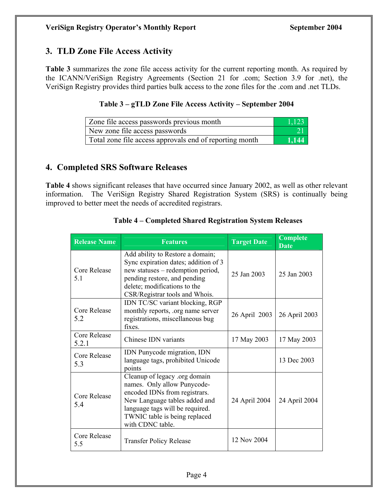# **3. TLD Zone File Access Activity**

**Table 3** summarizes the zone file access activity for the current reporting month. As required by the ICANN/VeriSign Registry Agreements (Section 21 for .com; Section 3.9 for .net), the VeriSign Registry provides third parties bulk access to the zone files for the .com and .net TLDs.

#### **Table 3 – gTLD Zone File Access Activity – September 2004**

| Zone file access passwords previous month               | -1.123 |
|---------------------------------------------------------|--------|
| New zone file access passwords                          |        |
| Total zone file access approvals end of reporting month | 1.144  |

# **4. Completed SRS Software Releases**

**Table 4** shows significant releases that have occurred since January 2002, as well as other relevant information. The VeriSign Registry Shared Registration System (SRS) is continually being improved to better meet the needs of accredited registrars.

| <b>Release Name</b>          | <b>Features</b>                                                                                                                                                                                                        | <b>Target Date</b> | <b>Complete</b><br><b>Date</b> |
|------------------------------|------------------------------------------------------------------------------------------------------------------------------------------------------------------------------------------------------------------------|--------------------|--------------------------------|
| Core Release<br>5.1          | Add ability to Restore a domain;<br>Sync expiration dates; addition of 3<br>new statuses – redemption period,<br>pending restore, and pending<br>delete; modifications to the<br>CSR/Registrar tools and Whois.        | 25 Jan 2003        | 25 Jan 2003                    |
| <b>Core Release</b><br>5.2   | IDN TC/SC variant blocking, RGP<br>monthly reports, .org name server<br>registrations, miscellaneous bug<br>fixes.                                                                                                     | 26 April 2003      | 26 April 2003                  |
| <b>Core Release</b><br>5.2.1 | Chinese IDN variants                                                                                                                                                                                                   | 17 May 2003        | 17 May 2003                    |
| Core Release<br>5.3          | IDN Punycode migration, IDN<br>language tags, prohibited Unicode<br>points                                                                                                                                             |                    | 13 Dec 2003                    |
| <b>Core Release</b><br>5.4   | Cleanup of legacy .org domain<br>names. Only allow Punycode-<br>encoded IDNs from registrars.<br>New Language tables added and<br>language tags will be required.<br>TWNIC table is being replaced<br>with CDNC table. | 24 April 2004      | 24 April 2004                  |
| Core Release<br>5.5          | <b>Transfer Policy Release</b>                                                                                                                                                                                         | 12 Nov 2004        |                                |

#### **Table 4 – Completed Shared Registration System Releases**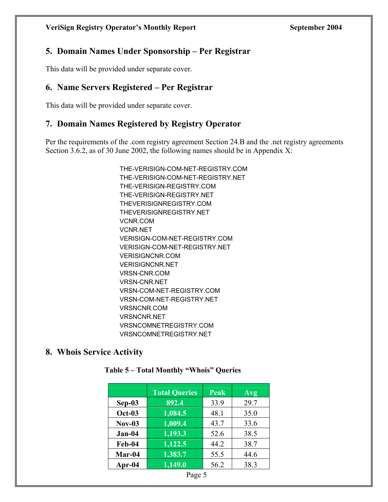# **5. Domain Names Under Sponsorship – Per Registrar**

This data will be provided under separate cover.

# **6. Name Servers Registered – Per Registrar**

This data will be provided under separate cover.

# **7. Domain Names Registered by Registry Operator**

Per the requirements of the .com registry agreement Section 24.B and the .net registry agreements Section 3.6.2, as of 30 June 2002, the following names should be in Appendix X:

> THE-VERISIGN-COM-NET-REGISTRY.COM THE-VERISIGN-COM-NET-REGISTRY.NET THE-VERISIGN-REGISTRY.COM THE-VERISIGN-REGISTRY.NET THEVERISIGNREGISTRY.COM THEVERISIGNREGISTRY.NET VCNR.COM VCNR.NET VERISIGN-COM-NET-REGISTRY.COM VERISIGN-COM-NET-REGISTRY.NET VERISIGNCNR.COM VERISIGNCNR.NET VRSN-CNR.COM VRSN-CNR.NET VRSN-COM-NET-REGISTRY.COM VRSN-COM-NET-REGISTRY.NET VRSNCNR.COM VRSNCNR.NET VRSNCOMNETREGISTRY.COM VRSNCOMNETREGISTRY.NET

## **8. Whois Service Activity**

|               | <b>Total Queries</b> | Peak | Avg  |
|---------------|----------------------|------|------|
| $Sep-03$      | 892.4                | 33.9 | 29.7 |
| <b>Oct-03</b> | 1,084.5              | 48.1 | 35.0 |
| $Nov-03$      | 1,009.4              | 43.7 | 33.6 |
| $Jan-04$      | 1,193.3              | 52.6 | 38.5 |
| Feb-04        | $\overline{1,122.5}$ | 44.2 | 38.7 |
| Mar-04        | 1,383.7              | 55.5 | 44.6 |
| Apr-04        | 1,149.0              | 56.2 | 38.3 |

#### **Table 5 – Total Monthly "Whois" Queries**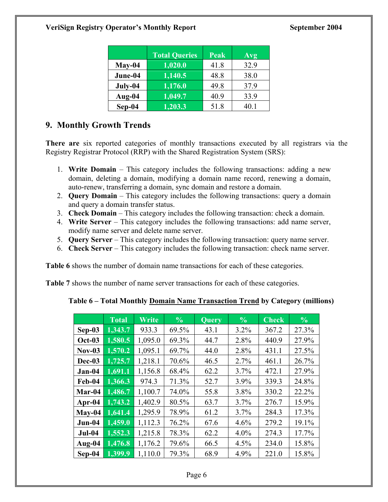|          | <b>Total Queries</b> | Peak | Avg  |
|----------|----------------------|------|------|
| $May-04$ | 1,020.0              | 41.8 | 32.9 |
| June-04  | $\overline{1,}140.5$ | 48.8 | 38.0 |
| July-04  | 1,176.0              | 49.8 | 37.9 |
| Aug-04   | 1,049.7              | 40.9 | 33.9 |
| $Sep-04$ | 1,203.3              | 51.8 | 40.1 |

# **9. Monthly Growth Trends**

**There are** six reported categories of monthly transactions executed by all registrars via the Registry Registrar Protocol (RRP) with the Shared Registration System (SRS):

- 1. **Write Domain**  This category includes the following transactions: adding a new domain, deleting a domain, modifying a domain name record, renewing a domain, auto-renew, transferring a domain, sync domain and restore a domain.
- 2. **Query Domain** This category includes the following transactions: query a domain and query a domain transfer status.
- 3. **Check Domain** This category includes the following transaction: check a domain.
- 4. **Write Server** This category includes the following transactions: add name server, modify name server and delete name server.
- 5. **Query Server** This category includes the following transaction: query name server.
- 6. **Check Server**  This category includes the following transaction: check name server.

**Table 6** shows the number of domain name transactions for each of these categories.

**Table 7** shows the number of name server transactions for each of these categories.

|               | <b>Total</b> | Write   | $\frac{6}{6}$ | <b>Query</b> | $\frac{6}{6}$ | <b>Check</b> | $\frac{6}{6}$ |
|---------------|--------------|---------|---------------|--------------|---------------|--------------|---------------|
| $Sep-03$      | 1,343.7      | 933.3   | 69.5%         | 43.1         | 3.2%          | 367.2        | 27.3%         |
| <b>Oct-03</b> | 1,580.5      | 1,095.0 | 69.3%         | 44.7         | 2.8%          | 440.9        | 27.9%         |
| $Nov-03$      | 1,570.2      | 1,095.1 | 69.7%         | 44.0         | 2.8%          | 431.1        | 27.5%         |
| Dec-03        | 1,725.7      | 1,218.1 | 70.6%         | 46.5         | 2.7%          | 461.1        | 26.7%         |
| $Jan-04$      | 1,691.1      | 1,156.8 | 68.4%         | 62.2         | 3.7%          | 472.1        | 27.9%         |
| Feb-04        | 1,366.3      | 974.3   | 71.3%         | 52.7         | 3.9%          | 339.3        | 24.8%         |
| Mar-04        | 1,486.7      | 1,100.7 | 74.0%         | 55.8         | 3.8%          | 330.2        | 22.2%         |
| Apr- $04$     | 1,743.2      | 1,402.9 | 80.5%         | 63.7         | 3.7%          | 276.7        | 15.9%         |
| $May-04$      | 1,641.4      | 1,295.9 | 78.9%         | 61.2         | 3.7%          | 284.3        | 17.3%         |
| Jun-04        | 1,459.0      | 1,112.3 | 76.2%         | 67.6         | 4.6%          | 279.2        | 19.1%         |
| <b>Jul-04</b> | 1,552.3      | 1,215.8 | 78.3%         | 62.2         | $4.0\%$       | 274.3        | 17.7%         |
| Aug-04        | 1,476.8      | 1,176.2 | 79.6%         | 66.5         | 4.5%          | 234.0        | 15.8%         |
| Sep-04        | 1,399.9      | 1,110.0 | 79.3%         | 68.9         | 4.9%          | 221.0        | 15.8%         |

## **Table 6 – Total Monthly Domain Name Transaction Trend by Category (millions)**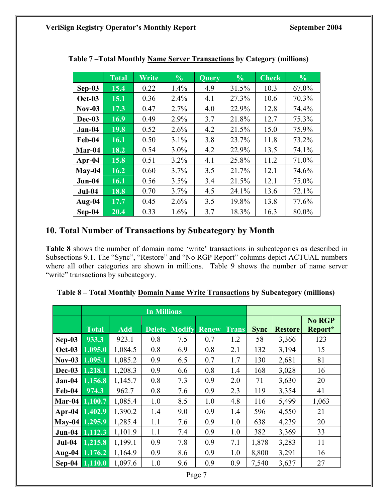|                | <b>Total</b> | Write | $\frac{0}{0}$ | Query | $\frac{0}{0}$ | $\overline{\text{Check}}$ | $\frac{6}{6}$ |
|----------------|--------------|-------|---------------|-------|---------------|---------------------------|---------------|
| $Sep-03$       | 15.4         | 0.22  | 1.4%          | 4.9   | 31.5%         | 10.3                      | 67.0%         |
| <b>Oct-03</b>  | 15.1         | 0.36  | 2.4%          | 4.1   | 27.3%         | 10.6                      | 70.3%         |
| <b>Nov-03</b>  | 17.3         | 0.47  | 2.7%          | 4.0   | 22.9%         | 12.8                      | 74.4%         |
| Dec-03         | 16.9         | 0.49  | 2.9%          | 3.7   | 21.8%         | 12.7                      | 75.3%         |
| Jan-04         | 19.8         | 0.52  | 2.6%          | 4.2   | 21.5%         | 15.0                      | 75.9%         |
| Feb-04         | 16.1         | 0.50  | 3.1%          | 3.8   | 23.7%         | 11.8                      | 73.2%         |
| Mar-04         | 18.2         | 0.54  | $3.0\%$       | 4.2   | 22.9%         | 13.5                      | 74.1%         |
| Apr-04         | 15.8         | 0.51  | 3.2%          | 4.1   | 25.8%         | 11.2                      | 71.0%         |
| $May-04$       | 16.2         | 0.60  | 3.7%          | 3.5   | 21.7%         | 12.1                      | 74.6%         |
| $Jun-04$       | 16.1         | 0.56  | 3.5%          | 3.4   | 21.5%         | 12.1                      | 75.0%         |
| $Jul-04$       | 18.8         | 0.70  | 3.7%          | 4.5   | 24.1%         | 13.6                      | 72.1%         |
| $\Delta$ ug-04 | 17.7         | 0.45  | 2.6%          | 3.5   | 19.8%         | 13.8                      | 77.6%         |
| Sep-04         | 20.4         | 0.33  | 1.6%          | 3.7   | 18.3%         | 16.3                      | 80.0%         |

**Table 7 –Total Monthly Name Server Transactions by Category (millions)** 

# **10. Total Number of Transactions by Subcategory by Month**

**Table 8** shows the number of domain name 'write' transactions in subcategories as described in Subsections 9.1. The "Sync", "Restore" and "No RGP Report" columns depict ACTUAL numbers where all other categories are shown in millions. Table 9 shows the number of name server "write" transactions by subcategory.

|                |                |            | <b>In Millions</b> |               |              |       |             |                |                          |
|----------------|----------------|------------|--------------------|---------------|--------------|-------|-------------|----------------|--------------------------|
|                | <b>Total</b>   | <b>Add</b> | <b>Delete</b>      | <b>Modify</b> | <b>Renew</b> | Trans | <b>Sync</b> | <b>Restore</b> | <b>No RGP</b><br>Report* |
|                | 933.3          | 923.1      | 0.8                | 7.5           | 0.7          | 1.2   | 58          | 3,366          | 123                      |
| Sep-03         |                |            |                    |               |              |       |             |                |                          |
| <b>Oct-03</b>  | 1,095.0        | 1,084.5    | 0.8                | 6.9           | 0.8          | 2.1   | 132         | 3,194          | 15                       |
| <b>Nov-03</b>  | 1,095.1        | 1,085.2    | 0.9                | 6.5           | 0.7          | 1.7   | 130         | 2,681          | 81                       |
| Dec-03         | 1,218.1        | 1,208.3    | 0.9                | 6.6           | 0.8          | 1.4   | 168         | 3,028          | 16                       |
| $Jan-04$       | 1,156.8        | 1,145.7    | 0.8                | 7.3           | 0.9          | 2.0   | 71          | 3,630          | 20                       |
| Feb-04         | 974.3          | 962.7      | 0.8                | 7.6           | 0.9          | 2.3   | 119         | 3,354          | 41                       |
|                | Mar-04 1,100.7 | 1,085.4    | 1.0                | 8.5           | 1.0          | 4.8   | 116         | 5,499          | 1,063                    |
|                | Apr-04 1,402.9 | 1,390.2    | 1.4                | 9.0           | 0.9          | 1.4   | 596         | 4,550          | 21                       |
| May-04 1,295.9 |                | 1,285.4    | 1.1                | 7.6           | 0.9          | 1.0   | 638         | 4,239          | 20                       |
| $Jun-04$       | 1,112.3        | 1,101.9    | 1.1                | 7.4           | 0.9          | 1.0   | 382         | 3,369          | 33                       |
| $Jul-04$       | 1,215.8        | 1,199.1    | 0.9                | 7.8           | 0.9          | 7.1   | 1,878       | 3,283          | 11                       |
|                | Aug-04 1,176.2 | 1,164.9    | 0.9                | 8.6           | 0.9          | 1.0   | 8,800       | 3,291          | 16                       |
| $Sep-04$       | 1,110.0        | 1,097.6    | 1.0                | 9.6           | 0.9          | 0.9   | 7,540       | 3,637          | 27                       |

| Table 8 - Total Monthly Domain Name Write Transactions by Subcategory (millions) |
|----------------------------------------------------------------------------------|
|----------------------------------------------------------------------------------|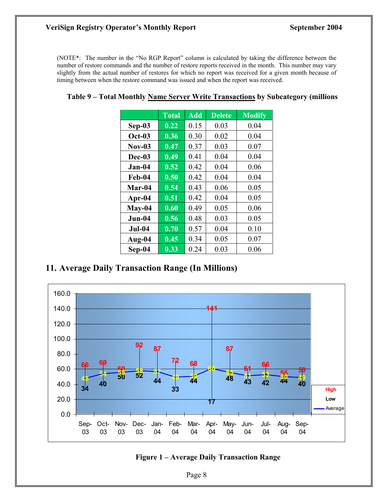#### **VeriSign Registry Operator's Monthly Report September 2004**

(NOTE\*: The number in the "No RGP Report" column is calculated by taking the difference between the number of restore commands and the number of restore reports received in the month. This number may vary slightly from the actual number of restores for which no report was received for a given month because of timing between when the restore command was issued and when the report was received.

|               | <b>Total</b>               | <b>Add</b> | <b>Delete</b> | <b>Modify</b> |
|---------------|----------------------------|------------|---------------|---------------|
| $Sep-03$      | $\overline{\mathbf{0.22}}$ | 0.15       | 0.03          | 0.04          |
| <b>Oct-03</b> | 0.36                       | 0.30       | 0.02          | 0.04          |
| $Nov-03$      | 0.47                       | 0.37       | 0.03          | 0.07          |
| Dec-03        | 0.49                       | 0.41       | 0.04          | 0.04          |
| Jan-04        | 0.52                       | 0.42       | 0.04          | 0.06          |
| Feb-04        | 0.50                       | 0.42       | 0.04          | 0.04          |
| Mar-04        | 0.54                       | 0.43       | 0.06          | 0.05          |
| Apr-04        | 0.51                       | 0.42       | 0.04          | 0.05          |
| May-04        | 0.60                       | 0.49       | 0.05          | 0.06          |
| Jun-04        | 0.56                       | 0.48       | 0.03          | 0.05          |
| <b>Jul-04</b> | 0.70                       | 0.57       | 0.04          | 0.10          |
| Aug-04        | 0.45                       | 0.34       | 0.05          | 0.07          |
| Sep-04        | 0.33                       | 0.24       | 0.03          | 0.06          |

# **11. Average Daily Transaction Range (In Millions)**



#### **Figure 1 – Average Daily Transaction Range**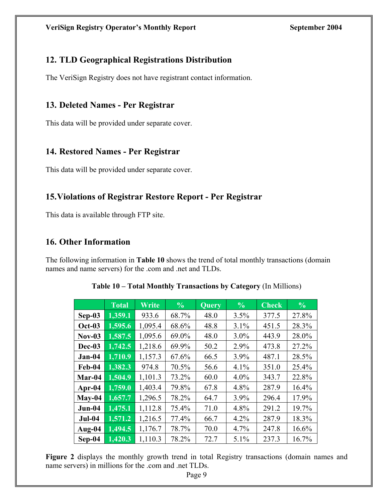# **12. TLD Geographical Registrations Distribution**

The VeriSign Registry does not have registrant contact information.

# **13. Deleted Names - Per Registrar**

This data will be provided under separate cover.

# **14. Restored Names - Per Registrar**

This data will be provided under separate cover.

# **15.Violations of Registrar Restore Report - Per Registrar**

This data is available through FTP site.

# **16. Other Information**

The following information in **Table 10** shows the trend of total monthly transactions (domain names and name servers) for the .com and .net and TLDs.

|               | <b>Total</b> | Write   | $\frac{0}{0}$ | <b>Query</b> | $\frac{0}{0}$ | $\overline{\mathbf{Check}}$ | $\frac{0}{0}$ |
|---------------|--------------|---------|---------------|--------------|---------------|-----------------------------|---------------|
| $Sep-03$      | 1,359.1      | 933.6   | 68.7%         | 48.0         | 3.5%          | 377.5                       | 27.8%         |
| <b>Oct-03</b> | 1,595.6      | 1,095.4 | 68.6%         | 48.8         | 3.1%          | 451.5                       | 28.3%         |
| $Nov-03$      | 1,587.5      | 1,095.6 | 69.0%         | 48.0         | $3.0\%$       | 443.9                       | 28.0%         |
| Dec-03        | 1,742.5      | 1,218.6 | 69.9%         | 50.2         | 2.9%          | 473.8                       | 27.2%         |
| $Jan-04$      | 1,710.9      | 1,157.3 | 67.6%         | 66.5         | 3.9%          | 487.1                       | 28.5%         |
| Feb-04        | 1,382.3      | 974.8   | 70.5%         | 56.6         | 4.1%          | 351.0                       | 25.4%         |
| Mar-04        | 1,504.9      | 1,101.3 | 73.2%         | 60.0         | $4.0\%$       | 343.7                       | 22.8%         |
| Apr-04        | 1,759.0      | 1,403.4 | 79.8%         | 67.8         | 4.8%          | 287.9                       | 16.4%         |
| $May-04$      | 1,657.7      | 1,296.5 | 78.2%         | 64.7         | 3.9%          | 296.4                       | 17.9%         |
| $Jun-04$      | 1,475.1      | 1,112.8 | 75.4%         | 71.0         | 4.8%          | 291.2                       | 19.7%         |
| <b>Jul-04</b> | 1,571.2      | 1,216.5 | 77.4%         | 66.7         | 4.2%          | 287.9                       | 18.3%         |
| Aug-04        | 1,494.5      | 1,176.7 | 78.7%         | 70.0         | 4.7%          | 247.8                       | 16.6%         |
| Sep-04        | 1,420.3      | 1,110.3 | 78.2%         | 72.7         | 5.1%          | 237.3                       | 16.7%         |

**Table 10 – Total Monthly Transactions by Category** (In Millions)

**Figure 2** displays the monthly growth trend in total Registry transactions (domain names and name servers) in millions for the .com and .net TLDs.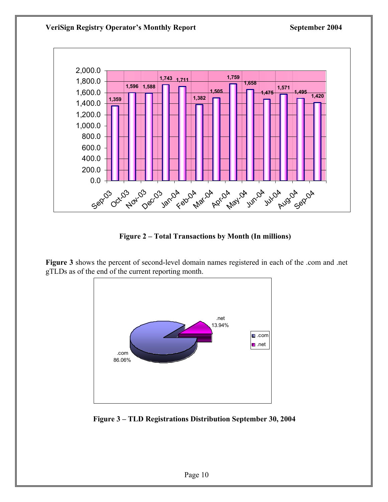

**Figure 2 – Total Transactions by Month (In millions)** 

**Figure 3** shows the percent of second-level domain names registered in each of the .com and .net gTLDs as of the end of the current reporting month.



 **Figure 3 – TLD Registrations Distribution September 30, 2004**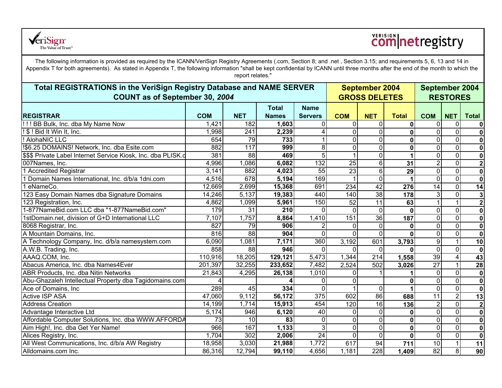

# **Comnetregistry**

The following information is provided as required by the ICANN/VeriSign Registry Agreements (.com, Section 8; and .net , Section 3.15; and requirements 5, 6, 13 and 14 in Appendix T for both agreements). As stated in Appendix T, the following information "shall be kept confidential by ICANN until three months after the end of the month to which the report relates."

| Total REGISTRATIONS in the VeriSign Registry Database and NAME SERVER<br>COUNT as of September 30, 2004 |            |                  |              |                |              | <b>September 2004</b><br><b>GROSS DELETES</b> |              |                  | <b>September 2004</b><br><b>RESTORES</b> |                         |  |  |
|---------------------------------------------------------------------------------------------------------|------------|------------------|--------------|----------------|--------------|-----------------------------------------------|--------------|------------------|------------------------------------------|-------------------------|--|--|
|                                                                                                         |            |                  | <b>Total</b> | <b>Name</b>    |              |                                               |              |                  |                                          |                         |  |  |
| <b>REGISTRAR</b>                                                                                        | <b>COM</b> | <b>NET</b>       | <b>Names</b> | <b>Servers</b> | <b>COM</b>   | <b>NET</b>                                    | <b>Total</b> | <b>COM</b>       | <b>NET</b>                               | <b>Total</b>            |  |  |
| !!!! BB Bulk, Inc. dba My Name Now                                                                      | 1,421      | 182              | 1,603        | $\Omega$       | <sup>0</sup> | $\mathbf{0}$                                  | $\mathbf{0}$ | $\Omega$         | $\mathbf 0$                              | $\mathbf 0$             |  |  |
| ! \$ ! Bid It Win It, Inc.                                                                              | 1,998      | $\overline{241}$ | 2,239        |                | $\Omega$     | $\mathbf{0}$                                  | 0            | $\mathbf 0$      | $\mathbf 0$                              | $\mathbf 0$             |  |  |
| ! AlohaNIC LLC                                                                                          | 654        | 79               | 733          |                |              | $\mathbf{0}$                                  | $\mathbf{0}$ | $\Omega$         | $\mathbf 0$                              | $\mathbf 0$             |  |  |
| !\$6.25 DOMAINS! Network, Inc. dba Esite.com                                                            | 882        | 117              | 999          | 8              |              | $\mathbf 0$                                   | 0            | 0                | 0                                        | $\mathbf 0$             |  |  |
| \$\$\$ Private Label Internet Service Kiosk, Inc. dba PLISK.c                                           | 381        | $\overline{88}$  | 469          |                |              | $\mathbf{0}$                                  |              | $\mathbf 0$      | $\mathbf 0$                              | $\mathbf 0$             |  |  |
| 007Names, Inc.                                                                                          | 4,996      | 1,086            | 6,082        | 132            | 25           | 6                                             | 31           | $\overline{2}$   | $\mathbf 0$                              | $\overline{2}$          |  |  |
| 1 Accredited Registrar                                                                                  | 3,141      | 882              | 4,023        | 55             | 23           | 6                                             | 29           | $\mathbf 0$      | $\mathbf 0$                              | $\mathbf 0$             |  |  |
| Domain Names International, Inc. d/b/a 1dni.com                                                         | 4,516      | 678              | 5,194        | 169            |              | 0                                             |              | $\mathbf 0$      | $\mathbf 0$                              | $\mathbf 0$             |  |  |
| 1 eNameCo.                                                                                              | 12,669     | 2,699            | 15,368       | 691            | 234          | $\overline{42}$                               | 276          | 14               | $\mathbf 0$                              | 14                      |  |  |
| 123 Easy Domain Names dba Signature Domains                                                             | 14,246     | 5,137            | 19,383       | 440            | 140          | 38                                            | 178          | 3                | 0                                        | $\mathbf{3}$            |  |  |
| 123 Registration, Inc.                                                                                  | 4,862      | 1,099            | 5,961        | 150            | 52           | 11                                            | 63           |                  |                                          | $\overline{\mathbf{2}}$ |  |  |
| 1-877NameBid.com LLC dba "1-877NameBid.com"                                                             | 179        | 31               | 210          |                |              | 0                                             | $\bf{0}$     | $\overline{0}$   | $\mathbf 0$                              | $\mathbf 0$             |  |  |
| 1stDomain.net, division of G+D International LLC                                                        | 7,107      | 1,757            | 8,864        | 1,410          | 151          | $\overline{36}$                               | 187          | $\overline{0}$   | $\mathbf 0$                              | $\overline{\mathbf{0}}$ |  |  |
| 8068 Registrar, Inc.                                                                                    | 827        | 79               | 906          |                |              | $\Omega$                                      | 0            | $\mathbf 0$      | $\mathbf 0$                              | $\mathbf 0$             |  |  |
| A Mountain Domains, Inc.                                                                                | 816        | $\overline{88}$  | 904          | 0              |              | 0                                             | $\mathbf{0}$ | $\mathbf 0$      | $\mathbf 0$                              | $\mathbf 0$             |  |  |
| A Technology Company, Inc. d/b/a namesystem.com                                                         | 6,090      | 1,081            | 7,171        | 360            | 3,192        | 601                                           | 3,793        | $\boldsymbol{9}$ | 1                                        | 10                      |  |  |
| A.W.B. Trading, Inc.                                                                                    | 858        | 88               | 946          |                |              | $\Omega$                                      | $\mathbf{0}$ | $\mathbf 0$      | $\mathbf 0$                              | $\mathbf 0$             |  |  |
| AAAQ.COM, Inc.                                                                                          | 110,916    | 18,205           | 129,121      | 5,473          | 1,344        | 214                                           | 1,558        | 39               | $\overline{\mathbf{4}}$                  | 43                      |  |  |
| Abacus America, Inc. dba Names4Ever                                                                     | 201,397    | 32,255           | 233,652      | 7,482          | 2,524        | 502                                           | 3,026        | $\overline{27}$  |                                          | 28                      |  |  |
| ABR Products, Inc. dba Nitin Networks                                                                   | 21,843     | 4,295            | 26,138       | 1,010          |              |                                               |              | $\overline{0}$   | $\mathbf 0$                              | $\overline{\mathbf{0}}$ |  |  |
| Abu-Ghazaleh Intellectual Property dba Tagidomains.com                                                  |            |                  |              |                |              |                                               | 0            | $\mathbf 0$      | $\mathbf 0$                              | $\mathbf 0$             |  |  |
| Ace of Domains, Inc.                                                                                    | 289        | 45               | 334          | 0              |              | $\mathbf{0}$                                  |              | $\mathbf 0$      | $\mathbf 0$                              | $\mathbf 0$             |  |  |
| <b>Active ISP ASA</b>                                                                                   | 47,060     | 9,112            | 56,172       | 375            | 602          | $\overline{86}$                               | 688          | 11               | $\overline{2}$                           | 13                      |  |  |
| <b>Address Creation</b>                                                                                 | 14,199     | 1,714            | 15,913       | 454            | 120          | 16                                            | 136          | $\overline{2}$   | $\overline{0}$                           | $\overline{2}$          |  |  |
| Advantage Interactive Ltd                                                                               | 5,174      | 946              | 6,120        | 40             |              | $\Omega$                                      | $\mathbf 0$  | $\mathbf 0$      | $\mathbf 0$                              | $\mathbf 0$             |  |  |
| Affordable Computer Solutions, Inc. dba WWW.AFFORDA                                                     | 73         | 10               | 83           | 0              |              | $\overline{0}$                                | 0            | $\mathbf 0$      | $\mathbf 0$                              | $\mathbf 0$             |  |  |
| Aim High!, Inc. dba Get Yer Name!                                                                       | 966        | 167              | 1,133        |                | $\Omega$     | 0                                             | $\mathbf 0$  | $\overline{0}$   | $\mathbf 0$                              | $\overline{\mathbf{0}}$ |  |  |
| Alices Registry, Inc.                                                                                   | 1,704      | 302              | 2,006        | 24             |              | $\mathbf 0$                                   | $\mathbf 0$  | $\mathbf 0$      | $\mathbf 0$                              | $\overline{\mathbf{0}}$ |  |  |
| All West Communications, Inc. d/b/a AW Registry                                                         | 18,958     | 3,030            | 21,988       | 1,772          | 617          | 94                                            | 711          | 10               | $\mathbf{1}$                             | 11                      |  |  |
| Alldomains.com Inc.                                                                                     | 86,316     | 12,794           | 99,110       | 4,656          | 1,181        | $\overline{228}$                              | 1,409        | 82               | $\infty$                                 | 90                      |  |  |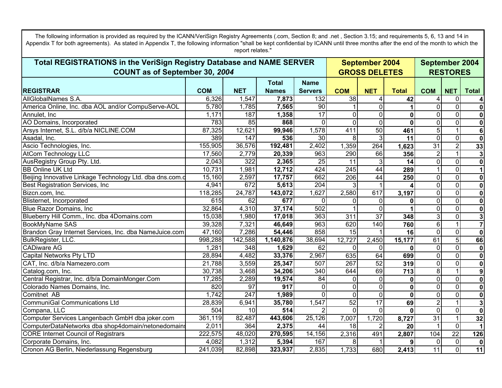| The following information is provided as required by the ICANN/VeriSign Registry Agreements (.com, Section 8; and .net, Section 3.15; and requirements 5, 6, 13 and 14 in<br>Appendix T for both agreements). As stated in Appendix T, the following information "shall be kept confidential by ICANN until three months after the end of the month to which the<br>report relates." |            |                  |                      |                  |                                               |                 |              |                                   |                         |                          |
|--------------------------------------------------------------------------------------------------------------------------------------------------------------------------------------------------------------------------------------------------------------------------------------------------------------------------------------------------------------------------------------|------------|------------------|----------------------|------------------|-----------------------------------------------|-----------------|--------------|-----------------------------------|-------------------------|--------------------------|
| Total REGISTRATIONS in the VeriSign Registry Database and NAME SERVER<br>COUNT as of September 30, 2004                                                                                                                                                                                                                                                                              |            |                  |                      |                  | <b>September 2004</b><br><b>GROSS DELETES</b> |                 |              | September 2004<br><b>RESTORES</b> |                         |                          |
|                                                                                                                                                                                                                                                                                                                                                                                      |            |                  | <b>Total</b>         | <b>Name</b>      |                                               |                 |              |                                   |                         |                          |
| <b>REGISTRAR</b>                                                                                                                                                                                                                                                                                                                                                                     | <b>COM</b> | <b>NET</b>       | <b>Names</b>         | <b>Servers</b>   | <b>COM</b>                                    | <b>NET</b>      | <b>Total</b> | <b>COM</b>                        | <b>NET</b>              | <b>Total</b>             |
| AllGlobalNames S.A.                                                                                                                                                                                                                                                                                                                                                                  | 6,326      | 1,547            | 7,873                | 132              | 38                                            | 4               | 42           | 4                                 | $\overline{0}$          | $\vert$                  |
| America Online, Inc. dba AOL and/or CompuServe-AOL                                                                                                                                                                                                                                                                                                                                   | 5,780      | 1,785            | 7,565                | 90               |                                               | $\overline{0}$  |              | 0                                 | $\overline{0}$          | 0                        |
| Annulet, Inc.                                                                                                                                                                                                                                                                                                                                                                        | 1,171      | 187              | 1,358                | $\overline{17}$  | $\Omega$                                      | 0               | 0            | $\Omega$                          | $\overline{0}$          | $\overline{\bullet}$     |
| AO Domains, Incorporated                                                                                                                                                                                                                                                                                                                                                             | 783        | 85               | 868                  | $\Omega$         | $\Omega$                                      | $\mathbf 0$     | $\bf{0}$     | $\mathbf 0$                       | $\overline{0}$          | $\overline{\phantom{a}}$ |
| Arsys Internet, S.L. d/b/a NICLINE.COM                                                                                                                                                                                                                                                                                                                                               | 87,325     | 12,621           | 99,946               | 1,578            | 411                                           | 50              | 461          | $\overline{5}$                    | $\mathbf{1}$            | 6                        |
| Asadal, Inc.                                                                                                                                                                                                                                                                                                                                                                         | 389        | $\overline{147}$ | 536                  | $\overline{30}$  | 8                                             | 3               | 11           | $\mathbf 0$                       | $\overline{\mathsf{o}}$ | $\overline{\mathbf{o}}$  |
| Ascio Technologies, Inc.                                                                                                                                                                                                                                                                                                                                                             | 155,905    | 36,576           | $\overline{192,}481$ | 2,402            | 1,359                                         | 264             | 1,623        | $\overline{31}$                   | $\overline{2}$          | 33                       |
| <b>AtCom Technology LLC</b>                                                                                                                                                                                                                                                                                                                                                          | 17,560     | 2,779            | 20,339               | 963              | 290                                           | 66              | 356          | $\overline{2}$                    | $\mathbf{1}$            | $\mathbf{3}$             |
| AusRegistry Group Pty. Ltd.                                                                                                                                                                                                                                                                                                                                                          | 2,043      | 322              | 2,365                | 25               | 11                                            | 3               | 14           | $\mathbf 0$                       | $\overline{0}$          | $\overline{\mathbf{o}}$  |
| <b>BB Online UK Ltd</b>                                                                                                                                                                                                                                                                                                                                                              | 10,731     | 1,981            | 12,712               | 424              | $\overline{245}$                              | $\overline{44}$ | 289          | 1                                 | $\overline{0}$          | $\overline{1}$           |
| Beijing Innovative Linkage Technology Ltd. dba dns.com.c                                                                                                                                                                                                                                                                                                                             | 15,160     | 2,597            | 17,757               | 662              | $\overline{206}$                              | 44              | 250          | 0                                 | $\overline{0}$          | 0                        |
| <b>Best Registration Services, Inc.</b>                                                                                                                                                                                                                                                                                                                                              | 4,941      | 672              | 5,613                | 204              |                                               |                 |              | $\Omega$                          | $\overline{0}$          | 0                        |
| Bizcn.com, Inc.                                                                                                                                                                                                                                                                                                                                                                      | 118,285    | 24,787           | 143,072              | 1,627            | 2,580                                         | 617             | 3,197        | 0                                 | $\overline{0}$          | 0                        |
| Blisternet, Incorporated                                                                                                                                                                                                                                                                                                                                                             | 615        | 62               | 677                  | $\Omega$         | 0                                             | 0               | 0            | $\Omega$                          | $\overline{0}$          | $\overline{\bullet}$     |
| Blue Razor Domains, Inc.                                                                                                                                                                                                                                                                                                                                                             | 32,864     | 4,310            | 37,174               | 502              |                                               | $\overline{0}$  |              | $\mathbf 0$                       | $\overline{0}$          | $\overline{\mathbf{0}}$  |
| Blueberry Hill Comm., Inc. dba 4Domains.com                                                                                                                                                                                                                                                                                                                                          | 15,038     | 1,980            | 17,018               | 363              | 311                                           | $\overline{37}$ | 348          | 3                                 | $\overline{\mathsf{o}}$ | $\overline{3}$           |
| <b>BookMyName SAS</b>                                                                                                                                                                                                                                                                                                                                                                | 39,328     | 7,321            | 46,649               | 963              | 620                                           | 140             | 760          | 6                                 | 1 <sup>1</sup>          | $\overline{7}$           |
| Brandon Gray Internet Services, Inc. dba NameJuice.com                                                                                                                                                                                                                                                                                                                               | 47,160     | 7,286            | 54,446               | 858              | 15                                            |                 | 16           | $\Omega$                          | $\overline{0}$          | 0                        |
| BulkRegister, LLC.                                                                                                                                                                                                                                                                                                                                                                   | 998,288    | 142,588          | 1,140,876            | 38,694           | 12,727                                        | 2,450           | 15,177       | 61                                | $\overline{5}$          | 66                       |
| <b>CADiware AG</b>                                                                                                                                                                                                                                                                                                                                                                   | 1,281      | 348              | 1,629                | 62               | $\Omega$                                      | $\mathbf 0$     | 0            | $\mathbf 0$                       | $\overline{0}$          | 0                        |
| Capital Networks Pty LTD                                                                                                                                                                                                                                                                                                                                                             | 28,894     | 4,482            | 33,376               | 2,967            | 635                                           | 64              | 699          | $\overline{0}$                    | $\overline{0}$          | 0                        |
| CAT, Inc. d/b/a Namezero.com                                                                                                                                                                                                                                                                                                                                                         | 21,788     | 3,559            | 25,347               | 507              | 267                                           | 52              | 319          | $\mathbf 0$                       | $\overline{0}$          | 0                        |
| Catalog.com, Inc.                                                                                                                                                                                                                                                                                                                                                                    | 30,738     | 3,468            | 34,206               | $\overline{340}$ | 644                                           | 69              | 713          | 8                                 | 1 <sup>1</sup>          | 9                        |
| Central Registrar, Inc. d/b/a DomainMonger.Com                                                                                                                                                                                                                                                                                                                                       | 17,285     | 2,289            | 19,574               | 84               | <sup>0</sup>                                  | 0               | 0            | 0                                 | $\overline{0}$          | 0                        |
| Colorado Names Domains, Inc.                                                                                                                                                                                                                                                                                                                                                         | 820        | 97               | 917                  | $\Omega$         | $\Omega$                                      | $\Omega$        | 0            | $\Omega$                          | $\overline{0}$          | 0                        |
| Comitnet AB                                                                                                                                                                                                                                                                                                                                                                          | 1,742      | $\overline{247}$ | 1,989                | $\Omega$         | $\Omega$                                      | $\mathbf 0$     | $\bf{0}$     | $\mathbf 0$                       | $\overline{\mathsf{o}}$ | $\overline{\mathbf{o}}$  |
| CommuniGal Communications Ltd                                                                                                                                                                                                                                                                                                                                                        | 28,839     | 6,941            | 35,780               | 1,547            | 52                                            | 17              | 69           | $\overline{2}$                    | $\overline{1}$          | $\overline{3}$           |
| Compana, LLC                                                                                                                                                                                                                                                                                                                                                                         | 504        | 10               | 514                  |                  | $\Omega$                                      | $\Omega$        | <sup>0</sup> | $\mathbf 0$                       | $\overline{0}$          | 0                        |
| Computer Services Langenbach GmbH dba joker.com                                                                                                                                                                                                                                                                                                                                      | 361,119    | 82,487           | 443,606              | 25,126           | 7,007                                         | 1,720           | 8,727        | 31                                | 1 <sup>1</sup>          | 32                       |
| ComputerDataNetworks dba shop4domain/netonedomains                                                                                                                                                                                                                                                                                                                                   | 2,011      | 364              | 2,375                | 44               | 18                                            |                 | 20           | 1                                 | $\Omega$                | $\vert$ 1                |
| <b>CORE Internet Council of Registrars</b>                                                                                                                                                                                                                                                                                                                                           | 222,575    | 48,020           | 270,595              | 14,156           | 2,316                                         | 491             | 2,807        | 104                               | 22                      | 126                      |
| Corporate Domains, Inc.                                                                                                                                                                                                                                                                                                                                                              | 4,082      | 1,312            | 5,394                | 167              | 8                                             |                 | 9            | $\overline{0}$                    | $\overline{\mathsf{o}}$ | 0                        |
| Cronon AG Berlin, Niederlassung Regensburg                                                                                                                                                                                                                                                                                                                                           | 241,039    | 82,898           | 323,937              | 2,835            | 1,733                                         | 680             | 2,413        | 11                                | $\overline{0}$          | 11                       |

 $\mathbf{I}$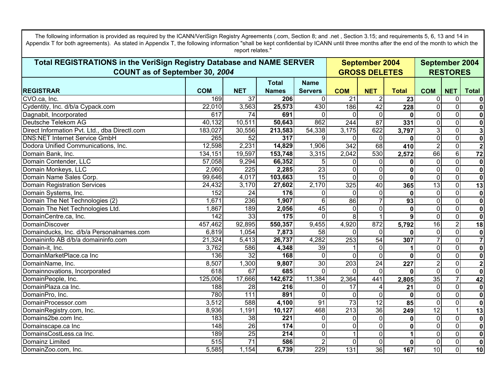**REGISTRAR COM NETTotal NamesName Servers COM NET Total COM NET Total September 2004 GROSS DELETESTotal REGISTRATIONS in the VeriSign Registry Database and NAME SERVER COUNT as of September 30***, 2004* **September 2004 RESTORES**Appendix T for both agreements). As stated in Appendix T, the following information "shall be kept confidential by ICANN until three months after the end of the month to which the report relates." CVO.ca, Inc. 169 37 **206**  $\Omega$  21 2 **23**3 | 0 | 0 **0**Cydentity, Inc. d/b/a Cypack.com 22,010 3,563 **25,573** 430 186 42 **228** 0 0 **0**Dagnabit, Incorporated 617 74 **691**  $\Omega$ 0 0 0 **0** 0 0 **0**Deutsche Telekom AG 40,132 10,511 **50,643** 862 244 87 **331** 0 0 **0**Direct Information Pvt. Ltd., dba DirectI.com 183,027 30,556 **213,583** 54,338 3,175 622 **3,797** 3 0 **3**DNS:NET Internet Service GmbH 265 52 **317**  $\overline{q}$  0 0**0** 0 0 **0**Dodora Unified Communications, Inc. 12,598 2,231 **14,829** 1,906 342 68 **410** 2 0 **2**Domain Bank, Inc. 134,151 19,597 **153,748** 3,315 2,042 530 **2,572** 66 6 **72** Domain Contender, LLC 57,058 9,294 **66,352** 5 0 0**0** 0 0 **0**Domain Monkeys, LLC 2,060 225 **2,285** 23 0 0 **0** 0 0 **0**Domain Name Sales Corp. 99,646 4,017 **103,663** 15 0 0 **0** 0 0 **0**Domain Registration Services 24,432 3,170 **27,602** 2,170 325 40 **365** 13 0 **13** Domain Systems, Inc. 152 24 **176** 00 0 0 **0** $\overline{0}$  0 **0**Domain The Net Technologies (2) 1,671 236 **1,907** 6 86 7 **93** 0 0 **0Domain The Net Technologies Ltd.** 1,867 189 **2,056** 189 1,867 2,058 189 **0** 0 0 **0DomainCentre.ca. Inc.** 15  $\Omega$ 0 1 8 1 **9** 0 0 **0**DomainDiscover 457,462 92,895 **550,357** 9,455 4,920 872 **5,792** 16 2 **18** Domainducks, Inc. d/b/a Personalnames.com 6,819 1,054 **7,873** 58 0 0 **0** 0 0 **0**Domaininfo AB d/b/a domaininfo.com 21,324 5,413 **26,737** 4,282 253 54 **307** 7 0 **7**Domain-it, Inc. 3,762 586 **4,348** 39 1 0 **1** 0 0 **0**DomainMarketPlace.ca Inc 136 32 **168** 00 0 0 **0** 0 0 **0**DomainName, Inc. 8,507 1,300 **9,807** 30 203 24 **227** 2 0 **2**Domainnovations, Incorporated 618 67 **685**  $\Omega$ 0 0 0 **0**0 0 0 **0**DomainPeople, Inc. 125,006 17,666 **142,672** 11,384 2,364 441 **2,805** 35 7 **42** DomainPlaza.ca Inc. 188 28 **216**  $\Omega$  17 4 **21** 0 0 **0DomainPro, Inc.** 780 111 **891**  $\Omega$ 0 0 0 **0**0 0 0 **0**DomainProcessor.com 3,512 588 **4,100** 91 73 12 **85** 0 0 **0**DomainRegistry.com, Inc. 8,936 1,191 **10,127** 468 213 36 **249** 12 1 **13** Domains2be.com Inc. 183 and 183 and 183 and 183 and 183 and 183 and 183 and 183 and 183 and 183 and 183 and 18 **221**  $\Omega$ 0 0 0 **0** 0 0 **0**Domainscape.ca Inc 148 26 **174**  $\Omega$ 0 0 0 **0**0 0 0 **0**DomainsCostLess.ca Inc. 189 **214**  $\overline{0}$ 0 1 0 **1**1 0 0 **0Domainz Limited 515 71** 515 71 **586** 2 0 0**0** 0 0 **0**DomainZoo.com, Inc. 5,585 1,154 **6,739** 229 131 36 **167** 10 0 **10**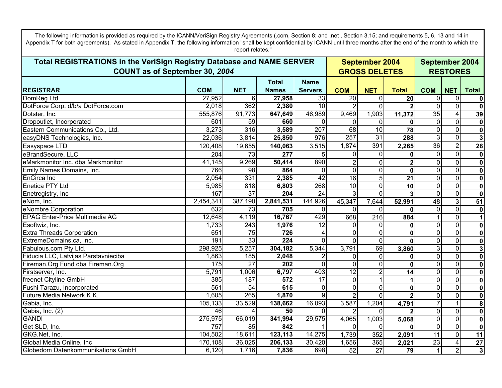**REGISTRAR COM NETTotal NamesName Servers COM NET Total COM NET Total September 2004 GROSS DELETESTotal REGISTRATIONS in the VeriSign Registry Database and NAME SERVER COUNT as of September 30***, 2004* **September 2004 RESTORES**Appendix T for both agreements). As stated in Appendix T, the following information "shall be kept confidential by ICANN until three months after the end of the month to which the report relates." DomReg Ltd. 27,952 6 **27,958** 33 20 0 **20** 0 0 **0**DotForce Corp. d/b/a DotForce.com 2,018 362 **2,380** 10 2 0 **2** 0 0 **0**Dotster, Inc. 555,876 91,773 **647,649** 46,989 9,469 1,903 **11,372** 35 4 **39** Propoutlet, Incorporated
and Communications Co., Ltd.
and Communications Co., Ltd.
and Communications Co., Ltd.
and Communications Co., Ltd.
and Communications Co., Ltd.
and Communications Co., Ltd.
and Communications Co.,  $\Omega$ 0 0 0 **0** $0 \cup 0$ **0**Eastern Communications Co., Ltd. 3,273 316 **3,589** 207 68 10 **78** 0 0 **0**easyDNS Technologies, Inc. 22,036 3,814 **25,850** 976 257 31 **288** 3 0 **3**Easyspace LTD 120,408 19,655 **140,063** 3,515 1,874 391 **2,265** 36 2 **28** eBrandSecure, LLC 204 73 **277** 55 0 0 **0**0 0 0 **0**eMarkmonitor Inc. dba Markmonitor 41,145 9,269 **50,414** 890 2 0 **2** 0 0 **0**Emily Names Domains, Inc. 766 98 **864**  $\Omega$ 0 0 0 **0**0 0 0 **0**EnCirca Inc 2,054 331 **2,385** 42 16 5 **21** 0 0 **0**Enetica PTY Ltd 5,985 818 **6,803** 268 10 0 **10** 0 0 **0Enetregistry, Inc** 167 **167 204 24 3 0 3**3 | 0 | 0 **0**eNom, Inc. 2,454,341 387,190 **2,841,531** 144,926 45,347 7,644 **52,991** 48 3 **51** eNombre Corporation 632 73 **705**  $\Omega$ 0 0 0 **0**0 0 0 **0**EPAG Enter-Price Multimedia AG 12,648 4,119 **16,767** 429 668 216 **884** 1 0 **1** Esoftwiz, Inc. 1,733 243 **1,976** 12 0 0 **0** $0 \cup 0$ **0Extra Threads Corporation** 1 **726 726** 4 0 0**0**0 0 0 **0ExtremeDomains.ca, Inc.** 191 33 **224**  $\Omega$ 0 0 0 **0**0 0 0 **0**Fabulous.com Pty Ltd. 298,925 5,257 **304,182** 5,344 3,791 69 **3,860** 3 0 **3**Fiducia LLC, Latvijas Parstavnieciba 1,863 185 **2,048** 2 0 0**0**0 0 0 **0**Fireman.Org Fund dba Fireman.Org 175 27 **202**  $\overline{0}$ 0 0 0 **0**0 0 **0**Firstserver, Inc. 5,791 1,006 **6,797** 403 12 2 **14** 0 0 **0**freenet Cityline GmbH 385 187 **572** 17 0 1 **1** 0 0 **0**Fushi Tarazu, Incorporated 561 54 **615**  $\Omega$ 0 0 0 **0**0 0 0 **0**Future Media Network K.K. 1,605 265 **1,870** 991 21 0 **2** 0 0 **0**Gabia, Inc. 105,133 33,529 **138,662** 16,093 3,587 1,204 **4,791** 7 1 **8**Gabia, Inc. (2) **46 4 50 4 50** 00 2 0 **2** 0 0 **0**GANDI 275,975 66,019 **341,994** 29,575 4,065 1,003 **5,068** 0 0 **0**Get SLD, Inc. 757| 85| **842|** 1| 0| 0 **0** 0 0 **0**GKG.Net, Inc. 104,502 18,611 **123,113** 14,275 1,739 352 **2,091** 11 0 **11** Global Media Online, Inc 170,108 36,025 **206,133** 30,420 1,656 365 **2,021** 23 4 **27** Globedom Datenkommunikations GmbH 6,120 1,716 **7,836** 698 52 27 **79** 1 2 **3**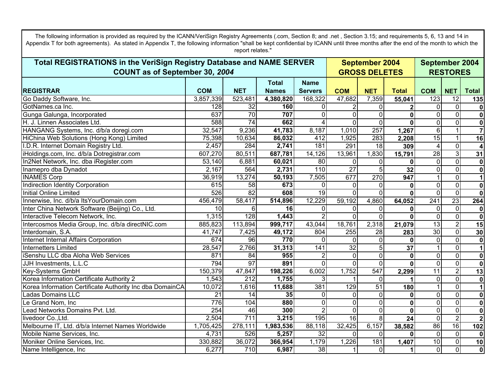**REGISTRAR COM NETTotal NamesName Servers COM NET Total COM NET Total September 2004 GROSS DELETESTotal REGISTRATIONS in the VeriSign Registry Database and NAME SERVER COUNT as of September 30***, 2004* **September 2004 RESTORES**Appendix T for both agreements). As stated in Appendix T, the following information "shall be kept confidential by ICANN until three months after the end of the month to which the report relates." Go Daddy Software, Inc. 3,857,339 523,481 **4,380,820** 168,322 47,682 7,359 **55,041** 123 12 **135** GotNames.ca Inc. 232 32 **160** 00 2 0 **2** 0 0 **0**Gunga Galunga, Incorporated 637 70 **707**  $\Omega$ 0 0 0 **0** 0 0 **0**H. J. Linnen Associates Ltd. 588 74 **662** 4 0 0**0** 0 0 **0**HANGANG Systems, Inc. d/b/a doregi.com 32,547 9,236 **41,783** 8,187 1,010 257 **1,267** 6 1 **7**HiChina Web Solutions (Hong Kong) Limited 75,398 10,634 **86,032** 412 1,925 283 **2,208** 15 1 **16** I.D.R. Internet Domain Registry Ltd. 2,457 284 **2,741** 181 291 18 **309** 4 0 **4**iHoldings.com, Inc. d/b/a Dotregistrar.com 607,270 80,511 **687,781** 14,126 13,961 1,830 **15,791** 28 3 **31** In2Net Network, Inc. dba iRegister.com 53,140 6,881 **60,021** 80 0 0 **0** 0 0 **0**Inamepro dba Dynadot 2,167 564 **2,731** 110 27 5 **32** 0 0 **0**INAMES Corp 36,919 13,274 **50,193** 7,505 677 270 **947** 1 0 **1** Indirection Identity Corporation 615 58 **673**  $\Omega$ 0 0 0 **0** 0 0 **0**Initial Online Limited 526 82 **608** 19 0 0**0** $\overline{0}$  0 **0**Innerwise, Inc. d/b/a ItsYourDomain.com 456,479 58,417 **514,896** 12,229 59,192 4,860 **64,052** 241 23 **264 Inter China Network Software (Beijing) Co., Ltd.** 10 **10** 16 **16 16** 00 0 0 **0**0 0 0 **0**Interactive Telecom Network, Inc. 1,315 128 **1,443** 2 0 0**0** 0 0 **0**Intercosmos Media Group, Inc. d/b/a directNIC.com 885,823 113,894 **999,717** 43,044 18,761 2,318 **21,079** 13 2 **15** Interdomain, S.A. 41,747 7,425 **49,172** 804 255 28 **283** 30 0 **30** Internet Internal Affairs Corporation 674 96 **770**  $\Omega$ 0 0 0 **0** 0 0 **0**Internetters Limited 28,547 2,766 **31,313** 141 32 5 **37** 1 0 **1** iSenshu LLC dba Aloha Web Services 871 871 84 **955** 2 0 0**0** 0 0 **0**JJH Investments, L.L.C 794 97 **891**  $\Omega$ 0 0 0 **0**0 0 0 **0**Key-Systems GmbH 150,379 47,847 **198,226** 6,002 1,752 547 **2,299** 11 2 **13** Korea Information Certificate Authority 2 1,543 **1,755** 1,755 331 11 0 **1**1 0 0 **0**Korea Information Certificate Authority Inc dba DomainCA. 10,072 1,616 **11,688** 381 129 51 **180** 1 0 **1** Ladas Domains LLC 21 14 **35**  $\Omega$ 0 0 0 **0**0 0 0 **0**Le Grand Nom, Inc 776 104 **880**  $\overline{0}$ 0 0 0 **0**0 0 0 **0**Lead Networks Domains Pvt. Ltd. 254 46 **300** 2 0 0**0**0 0 0 **0**livedoor Co.,Ltd. 2,504 711 **3,215** 195 16 8 **24** 0 2 **2**Melbourne IT, Ltd. d/b/a Internet Names Worldwide 1,705,425 278,111 **1,983,536** 88,118 32,425 6,157 **38,582** 86 16 **102** Mobile Name Services, Inc. 4,731 526 **5,257** 32 0 0 **0**0 0 0 **0**Moniker Online Services, Inc. 330,882 36,072 **366,954** 1,179 1,226 181 **1,407** 10 0 **10** Name Intelligence, Inc 6,277 710 **6,987** 38 1 0 **1** 0 0 **0**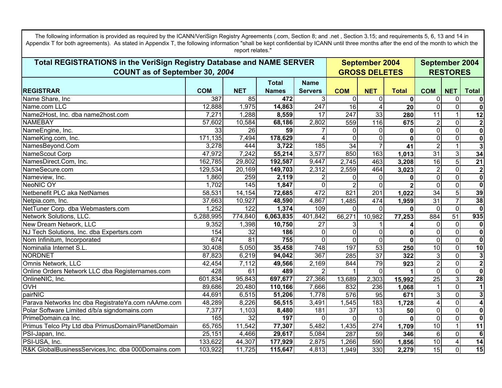**REGISTRAR COM NETTotal NamesName Servers COM NET Total COM NET Total September 2004 GROSS DELETESTotal REGISTRATIONS in the VeriSign Registry Database and NAME SERVER COUNT as of September 30***, 2004* **September 2004 RESTORES**Appendix T for both agreements). As stated in Appendix T, the following information "shall be kept confidential by ICANN until three months after the end of the month to which the report relates." Name Share, Inc **387 472 1** 387 85 **472** 3 0 0**0**0 0 0 **0**Name.com LLC 12,888 1,975 **14,863** 247 16 4 **20** 0 0 **0**Name2Host, Inc. dba name2host.com 7,271 1,288 **8,559** 17 247 33 **280** 11 1 **12** NAMEBAY 57,602 10,584 **68,186** 2,802 559 116 **675** 2 0 **2**NameEngine, Inc. **59 59 126 59 126 59 126 59** 7 0 0**0**0 0 0 **0NameKing.com, Inc.** 171,135 7,494 **178,629** 4 0 0**0** 0 0 **0**NamesBeyond.Com 3,278 444 **3,722** 185 34 7 **41** 2 1 **3**NameScout Corp 47,972 7,242 **55,214** 3,577 850 163 **1,013** 31 3 **34** NamesDirect.Com, Inc. 162,785 29,802 **192,587** 9,447 2,745 463 **3,208** 16 5 **21** NameSecure.com 129,534 20,169 **149,703** 2,312 2,559 464 **3,023** 2 0 **2**Nameview, Inc. 1,860 259 **2,119** 2 0 0**0** 0 0 **0**NeoNIC OY 1,702 145 **1,847**  $\overline{0}$ 0 2 0 **2** 0 0 **0**Netbenefit PLC aka NetNames 58,531 14,154 **72,685** 472 821 201 **1,022** 34 5 **39** Netpia.com, Inc. 37,663 10,927 **48,590** 4,867 1,485 474 **1,959** 31 7 **38** NetTuner Corp. dba Webmasters.com 1,252 122 **1,374** 109 0 0 **0** 0 0 **0**Network Solutions, LLC. 5,288,995 774,840 **6,063,835** 401,842 66,271 10,982 **77,253** 884 51 **935** New Dream Network, LLC 9,352 1,398 **10,750** 27 3 1 **4**4 0 0 **0**NJ Tech Solutions, Inc. dba Expertsrs.com 154 and 154 and 186 00 0 0 **0** $0 \cup 0$ **0**Nom Infinitum, Incorporated 674 81 **755** 00 0 0 **0**0 0 0 **0**Nominalia Internet S.L. 30,408 5,050 **35,458** 748 197 53 **250** 10 0 **10** NORDNET 87,823 6,219 **94,042** 367 285 37 **322** 3 0 **3**Omnis Network, LLC 42,454 7,112 **49,566** 2,169 844 79 **923** 2 0 **2**Online Orders Network LLC dba Registernames.com 428 61 **489** 22 1 0 **1**1 0 0 **0**OnlineNIC, Inc. 601,834 95,843 **697,677** 27,366 13,689 2,303 **15,992** 25 3 **28** OVH 89,686 20,480 **110,166** 7,666 832 236 **1,068** 1 0 **1** pairNIC 44,691 6,515 **51,206** 1,778 576 95 **671** 3 0 **3**Parava Networks Inc dba RegistrateYa.com nAAme.com 48,289 8,226 **56,515** 3,491 1,545 183 **1,728** 4 0 **4**Polar Software Limited d/b/a signdomains.com 7,377 1,103 **8,480** 181 37 13 **50** 0 0 **0**PrimeDomain.ca Inc. 2002 165 32 **197** 00 0 0 **0**0 0 0 **0**Primus Telco Pty Ltd dba PrimusDomain/PlanetDomain 65,765 11,542 **77,307** 5,482 1,435 274 **1,709** 10 1 **11** PSI-Japan, Inc. 25,151 4,466 **29,617** 5,084 287 59 **346** 6 0 **6**PSI-USA, Inc. 133,622 44,307 **177,929** 2,875 1,266 590 **1,856** 10 4 **14** R&K GlobalBusinessServices,Inc. dba 000Domains.com 103,922 11,725 **115,647** 4,813 1,949 330 **2,279** 15 0 **15**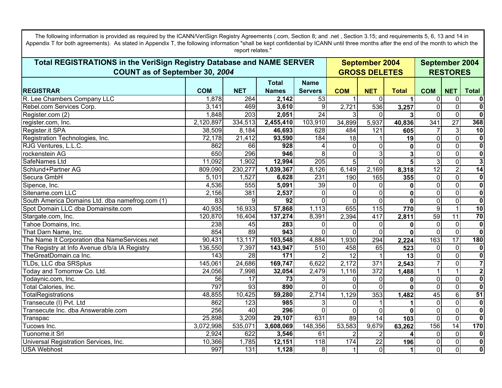**REGISTRAR COM NETTotal NamesName Servers COM NET Total COM NET Total September 2004 GROSS DELETESTotal REGISTRATIONS in the VeriSign Registry Database and NAME SERVER COUNT as of September 30***, 2004* **September 2004 RESTORES**Appendix T for both agreements). As stated in Appendix T, the following information "shall be kept confidential by ICANN until three months after the end of the month to which the report relates." R. Lee Chambers Company LLC 1,878 264 **2,142** 53 1 0 **1** 0 0 **0**Rebel.com Services Corp. 3,141 469 **3,610** 9 2,721 536 **3,257** 0 0 **0**Register.com (2) 1,848 203 **2,051** 24 3 0 **3**31 OI O **0**register.com, Inc. 2,120,897 334,513 **2,455,410** 103,910 34,899 5,937 **40,836** 341 27 **368** Register.it SPA 38,509 8,184 **46,693** 628 484 121 **605** 7 3 **10** Registration Technologies, Inc. 72,178 21,412 **93,590** 184 18 1 **19** 0 0 **0**RJG Ventures, L.L.C. 862 66 **928** 4 0 0**0** 0 0 **0**rockenstein AG 650 296 **946**  $\overline{8}$  0 3**3** 0 0 **0**SafeNames Ltd 11,092 1,902 **12,994** 205 5 0 **5** 3 0 **3**Schlund+Partner AG 809,090 230,277 **1,039,367** 8,126 6,149 2,169 **8,318** 12 2 **14** Secura GmbH 5,101 1,527 **6,628** 231 190 165 **355** 0 0 **0**Sipence, Inc. 4,536 555 **5,091** 39 0 0 **0** 0 0 **0**Sitename.com LLC 2,156 381 **2,537** 00 0 0 **0** $\overline{0}$  0 **0**South America Domains Ltd. dba namefrog.com (1)  $\vert$  83 9 9 92  $\overline{0}$ 0 0 0 **0** 0 0 **0**Spot Domain LLC dba Domainsite.com 40,935 16,933 **57,868** 1,113 655 115 **770** 9 1 **10** Stargate.com, Inc. 120,870 16,404 **137,274** 8,391 2,394 417 **2,811** 59 11 **70** Tahoe Domains, Inc. 238 45 **283** 00 0 0 **0** $0 \qquad 0$ **0**That Darn Name, Inc. 854 89 **943**  $\Omega$ 0 0 0 **0** 0 0 **0**The Name It Corporation dba NameServices.net 90,431 13,117 **103,548** 4,884 1,930 294 **2,224** 163 17 **180** The Registry at Info Avenue d/b/a IA Registry 136,550 7,397 **143,947** 510 458 65 **523** 0 0 **0**TheGreatDomain.ca Inc. 15 143 28 **171** 2 12 1 **13** 0 0 **0**TLDs, LLC dba SRSplus 145,061 24,686 **169,747** 6,622 2,172 371 **2,543** 7 0 **7**Today and Tomorrow Co. Ltd. 24,056 7,998 **32,054** 2,479 1,116 372 **1,488** 1 1 **2**Todaynic.com, Inc. 56 17 **73** 3 0 0**0**0 0 0 **0**Total Calories, Inc. 797 93 **890**  $\overline{0}$ 0 0 0 **0** 0 0 **0**TotalRegistrations 48,855 10,425 **59,280** 2,714 1,129 353 **1,482** 45 6 **51** Transecute (I) Pvt. Ltd 862 123 **985** 331 01 1 **1**1 0 0 **0**Transecute Inc. dba Answerable.com 256 40 **296**  $\Omega$ 0 0 0 **0**0 0 0 **0**Transpac 25,898 3,209 **29,107** 631 89 14 **103** 0 0 **0**Tucows Inc. 3,072,998 535,071 **3,608,069** 148,356 53,583 9,679 **63,262** 156 14 **170** Tuonome.it Srl 2,924 622 **3,546** 61 2 2 **4**41 01 0 **0**Universal Registration Services, Inc. 10,366 1,785 **12,151** 118 174 22 **196** 0 0 **0**USA Webhost **131** 997 131 **1,128** 8 1 0 **1** 0 0 **0**